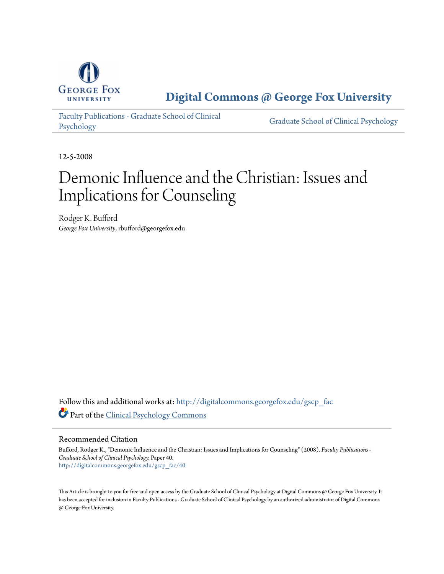

**[Digital Commons @ George Fox University](http://digitalcommons.georgefox.edu?utm_source=digitalcommons.georgefox.edu%2Fgscp_fac%2F40&utm_medium=PDF&utm_campaign=PDFCoverPages)**

[Faculty Publications - Graduate School of Clinical](http://digitalcommons.georgefox.edu/gscp_fac?utm_source=digitalcommons.georgefox.edu%2Fgscp_fac%2F40&utm_medium=PDF&utm_campaign=PDFCoverPages) [Psychology](http://digitalcommons.georgefox.edu/gscp_fac?utm_source=digitalcommons.georgefox.edu%2Fgscp_fac%2F40&utm_medium=PDF&utm_campaign=PDFCoverPages)

[Graduate School of Clinical Psychology](http://digitalcommons.georgefox.edu/gscp?utm_source=digitalcommons.georgefox.edu%2Fgscp_fac%2F40&utm_medium=PDF&utm_campaign=PDFCoverPages)

12-5-2008

# Demonic Influence and the Christian: Issues and Implications for Counseling

Rodger K. Bufford *George Fox University*, rbufford@georgefox.edu

Follow this and additional works at: [http://digitalcommons.georgefox.edu/gscp\\_fac](http://digitalcommons.georgefox.edu/gscp_fac?utm_source=digitalcommons.georgefox.edu%2Fgscp_fac%2F40&utm_medium=PDF&utm_campaign=PDFCoverPages) Part of the [Clinical Psychology Commons](http://network.bepress.com/hgg/discipline/406?utm_source=digitalcommons.georgefox.edu%2Fgscp_fac%2F40&utm_medium=PDF&utm_campaign=PDFCoverPages)

Recommended Citation

Bufford, Rodger K., "Demonic Influence and the Christian: Issues and Implications for Counseling" (2008). *Faculty Publications - Graduate School of Clinical Psychology.* Paper 40. [http://digitalcommons.georgefox.edu/gscp\\_fac/40](http://digitalcommons.georgefox.edu/gscp_fac/40?utm_source=digitalcommons.georgefox.edu%2Fgscp_fac%2F40&utm_medium=PDF&utm_campaign=PDFCoverPages)

This Article is brought to you for free and open access by the Graduate School of Clinical Psychology at Digital Commons @ George Fox University. It has been accepted for inclusion in Faculty Publications - Graduate School of Clinical Psychology by an authorized administrator of Digital Commons @ George Fox University.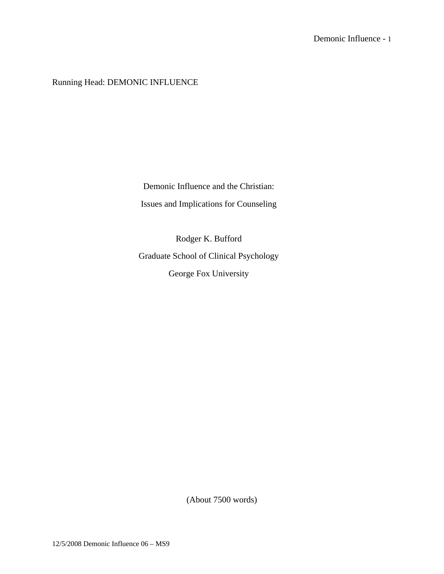Running Head: DEMONIC INFLUENCE

Demonic Influence and the Christian: Issues and Implications for Counseling

Rodger K. Bufford Graduate School of Clinical Psychology George Fox University

(About 7500 words)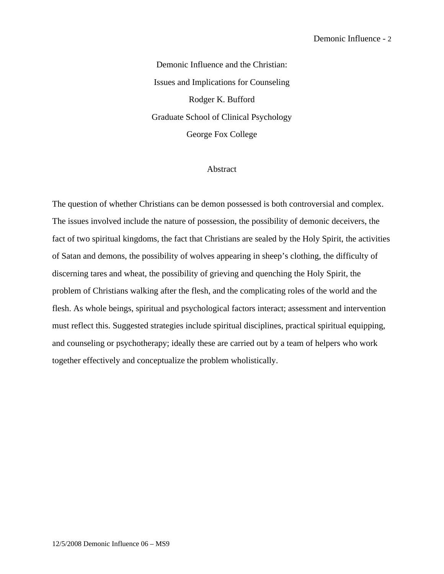Demonic Influence and the Christian: Issues and Implications for Counseling Rodger K. Bufford Graduate School of Clinical Psychology George Fox College

#### Abstract

The question of whether Christians can be demon possessed is both controversial and complex. The issues involved include the nature of possession, the possibility of demonic deceivers, the fact of two spiritual kingdoms, the fact that Christians are sealed by the Holy Spirit, the activities of Satan and demons, the possibility of wolves appearing in sheep's clothing, the difficulty of discerning tares and wheat, the possibility of grieving and quenching the Holy Spirit, the problem of Christians walking after the flesh, and the complicating roles of the world and the flesh. As whole beings, spiritual and psychological factors interact; assessment and intervention must reflect this. Suggested strategies include spiritual disciplines, practical spiritual equipping, and counseling or psychotherapy; ideally these are carried out by a team of helpers who work together effectively and conceptualize the problem wholistically.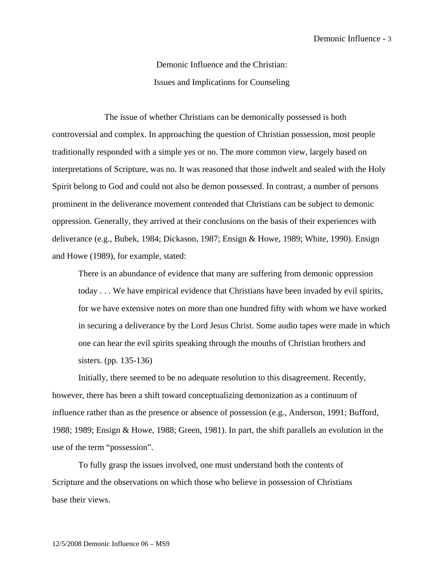Demonic Influence and the Christian: Issues and Implications for Counseling

 The issue of whether Christians can be demonically possessed is both controversial and complex. In approaching the question of Christian possession, most people traditionally responded with a simple yes or no. The more common view, largely based on interpretations of Scripture, was no. It was reasoned that those indwelt and sealed with the Holy Spirit belong to God and could not also be demon possessed. In contrast, a number of persons prominent in the deliverance movement contended that Christians can be subject to demonic oppression. Generally, they arrived at their conclusions on the basis of their experiences with deliverance (e.g., Bubek, 1984; Dickason, 1987; Ensign & Howe, 1989; White, 1990). Ensign and Howe (1989), for example, stated:

There is an abundance of evidence that many are suffering from demonic oppression today . . . We have empirical evidence that Christians have been invaded by evil spirits, for we have extensive notes on more than one hundred fifty with whom we have worked in securing a deliverance by the Lord Jesus Christ. Some audio tapes were made in which one can hear the evil spirits speaking through the mouths of Christian brothers and sisters. (pp. 135-136)

Initially, there seemed to be no adequate resolution to this disagreement. Recently, however, there has been a shift toward conceptualizing demonization as a continuum of influence rather than as the presence or absence of possession (e.g., Anderson, 1991; Bufford, 1988; 1989; Ensign & Howe, 1988; Green, 1981). In part, the shift parallels an evolution in the use of the term "possession".

 To fully grasp the issues involved, one must understand both the contents of Scripture and the observations on which those who believe in possession of Christians base their views.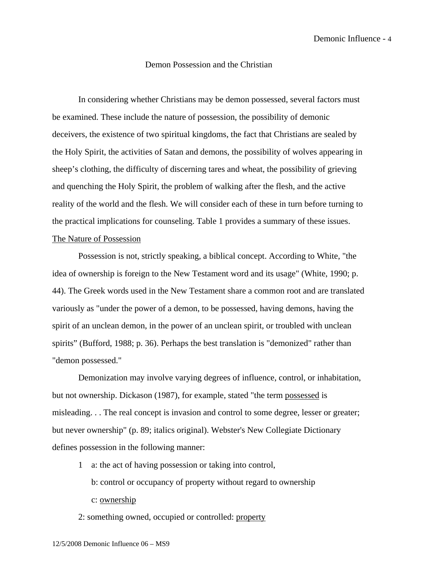#### Demon Possession and the Christian

In considering whether Christians may be demon possessed, several factors must be examined. These include the nature of possession, the possibility of demonic deceivers, the existence of two spiritual kingdoms, the fact that Christians are sealed by the Holy Spirit, the activities of Satan and demons, the possibility of wolves appearing in sheep's clothing, the difficulty of discerning tares and wheat, the possibility of grieving and quenching the Holy Spirit, the problem of walking after the flesh, and the active reality of the world and the flesh. We will consider each of these in turn before turning to the practical implications for counseling. Table 1 provides a summary of these issues. The Nature of Possession

Possession is not, strictly speaking, a biblical concept. According to White, "the idea of ownership is foreign to the New Testament word and its usage" (White, 1990; p. 44). The Greek words used in the New Testament share a common root and are translated variously as "under the power of a demon, to be possessed, having demons, having the spirit of an unclean demon, in the power of an unclean spirit, or troubled with unclean spirits" (Bufford, 1988; p. 36). Perhaps the best translation is "demonized" rather than "demon possessed."

Demonization may involve varying degrees of influence, control, or inhabitation, but not ownership. Dickason (1987), for example, stated "the term possessed is misleading. . . The real concept is invasion and control to some degree, lesser or greater; but never ownership" (p. 89; italics original). Webster's New Collegiate Dictionary defines possession in the following manner:

1 a: the act of having possession or taking into control,

b: control or occupancy of property without regard to ownership

c: ownership

2: something owned, occupied or controlled: property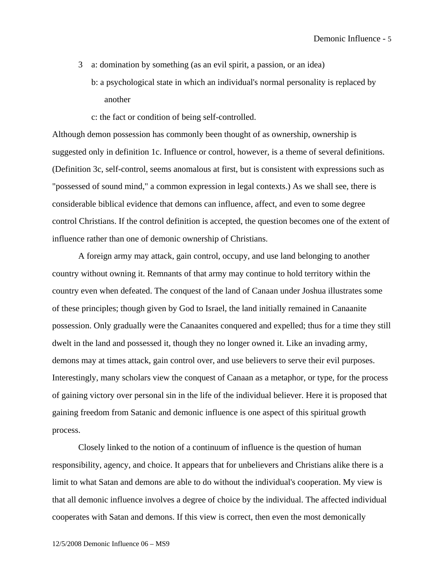- 3 a: domination by something (as an evil spirit, a passion, or an idea) b: a psychological state in which an individual's normal personality is replaced by another
	- c: the fact or condition of being self-controlled.

Although demon possession has commonly been thought of as ownership, ownership is suggested only in definition 1c. Influence or control, however, is a theme of several definitions. (Definition 3c, self-control, seems anomalous at first, but is consistent with expressions such as "possessed of sound mind," a common expression in legal contexts.) As we shall see, there is considerable biblical evidence that demons can influence, affect, and even to some degree control Christians. If the control definition is accepted, the question becomes one of the extent of influence rather than one of demonic ownership of Christians.

 A foreign army may attack, gain control, occupy, and use land belonging to another country without owning it. Remnants of that army may continue to hold territory within the country even when defeated. The conquest of the land of Canaan under Joshua illustrates some of these principles; though given by God to Israel, the land initially remained in Canaanite possession. Only gradually were the Canaanites conquered and expelled; thus for a time they still dwelt in the land and possessed it, though they no longer owned it. Like an invading army, demons may at times attack, gain control over, and use believers to serve their evil purposes. Interestingly, many scholars view the conquest of Canaan as a metaphor, or type, for the process of gaining victory over personal sin in the life of the individual believer. Here it is proposed that gaining freedom from Satanic and demonic influence is one aspect of this spiritual growth process.

 Closely linked to the notion of a continuum of influence is the question of human responsibility, agency, and choice. It appears that for unbelievers and Christians alike there is a limit to what Satan and demons are able to do without the individual's cooperation. My view is that all demonic influence involves a degree of choice by the individual. The affected individual cooperates with Satan and demons. If this view is correct, then even the most demonically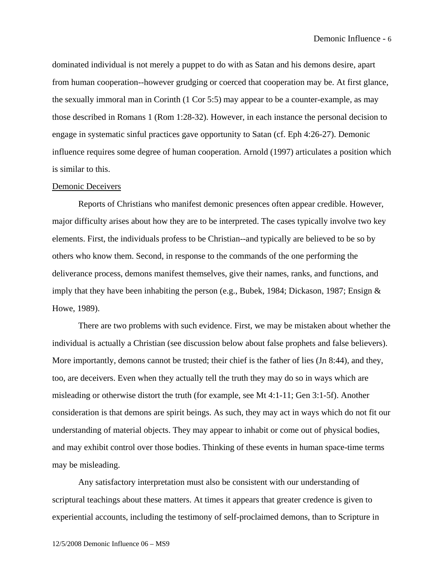dominated individual is not merely a puppet to do with as Satan and his demons desire, apart from human cooperation--however grudging or coerced that cooperation may be. At first glance, the sexually immoral man in Corinth (1 Cor 5:5) may appear to be a counter-example, as may those described in Romans 1 (Rom 1:28-32). However, in each instance the personal decision to engage in systematic sinful practices gave opportunity to Satan (cf. Eph 4:26-27). Demonic influence requires some degree of human cooperation. Arnold (1997) articulates a position which is similar to this.

#### Demonic Deceivers

 Reports of Christians who manifest demonic presences often appear credible. However, major difficulty arises about how they are to be interpreted. The cases typically involve two key elements. First, the individuals profess to be Christian--and typically are believed to be so by others who know them. Second, in response to the commands of the one performing the deliverance process, demons manifest themselves, give their names, ranks, and functions, and imply that they have been inhabiting the person (e.g., Bubek, 1984; Dickason, 1987; Ensign & Howe, 1989).

 There are two problems with such evidence. First, we may be mistaken about whether the individual is actually a Christian (see discussion below about false prophets and false believers). More importantly, demons cannot be trusted; their chief is the father of lies (Jn 8:44), and they, too, are deceivers. Even when they actually tell the truth they may do so in ways which are misleading or otherwise distort the truth (for example, see Mt 4:1-11; Gen 3:1-5f). Another consideration is that demons are spirit beings. As such, they may act in ways which do not fit our understanding of material objects. They may appear to inhabit or come out of physical bodies, and may exhibit control over those bodies. Thinking of these events in human space-time terms may be misleading.

 Any satisfactory interpretation must also be consistent with our understanding of scriptural teachings about these matters. At times it appears that greater credence is given to experiential accounts, including the testimony of self-proclaimed demons, than to Scripture in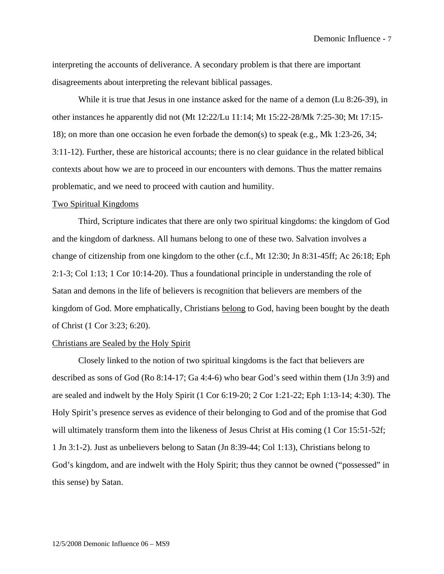interpreting the accounts of deliverance. A secondary problem is that there are important disagreements about interpreting the relevant biblical passages.

 While it is true that Jesus in one instance asked for the name of a demon (Lu 8:26-39), in other instances he apparently did not (Mt 12:22/Lu 11:14; Mt 15:22-28/Mk 7:25-30; Mt 17:15- 18); on more than one occasion he even forbade the demon(s) to speak (e.g., Mk 1:23-26, 34; 3:11-12). Further, these are historical accounts; there is no clear guidance in the related biblical contexts about how we are to proceed in our encounters with demons. Thus the matter remains problematic, and we need to proceed with caution and humility.

#### Two Spiritual Kingdoms

Third, Scripture indicates that there are only two spiritual kingdoms: the kingdom of God and the kingdom of darkness. All humans belong to one of these two. Salvation involves a change of citizenship from one kingdom to the other (c.f., Mt 12:30; Jn 8:31-45ff; Ac 26:18; Eph 2:1-3; Col 1:13; 1 Cor 10:14-20). Thus a foundational principle in understanding the role of Satan and demons in the life of believers is recognition that believers are members of the kingdom of God. More emphatically, Christians belong to God, having been bought by the death of Christ (1 Cor 3:23; 6:20).

#### Christians are Sealed by the Holy Spirit

Closely linked to the notion of two spiritual kingdoms is the fact that believers are described as sons of God (Ro 8:14-17; Ga 4:4-6) who bear God's seed within them (1Jn 3:9) and are sealed and indwelt by the Holy Spirit (1 Cor 6:19-20; 2 Cor 1:21-22; Eph 1:13-14; 4:30). The Holy Spirit's presence serves as evidence of their belonging to God and of the promise that God will ultimately transform them into the likeness of Jesus Christ at His coming (1 Cor 15:51-52f; 1 Jn 3:1-2). Just as unbelievers belong to Satan (Jn 8:39-44; Col 1:13), Christians belong to God's kingdom, and are indwelt with the Holy Spirit; thus they cannot be owned ("possessed" in this sense) by Satan.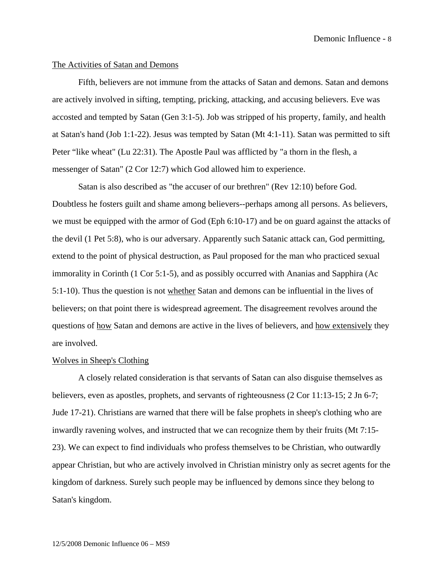#### The Activities of Satan and Demons

Fifth, believers are not immune from the attacks of Satan and demons. Satan and demons are actively involved in sifting, tempting, pricking, attacking, and accusing believers. Eve was accosted and tempted by Satan (Gen 3:1-5). Job was stripped of his property, family, and health at Satan's hand (Job 1:1-22). Jesus was tempted by Satan (Mt 4:1-11). Satan was permitted to sift Peter "like wheat" (Lu 22:31). The Apostle Paul was afflicted by "a thorn in the flesh, a messenger of Satan" (2 Cor 12:7) which God allowed him to experience.

Satan is also described as "the accuser of our brethren" (Rev 12:10) before God. Doubtless he fosters guilt and shame among believers--perhaps among all persons. As believers, we must be equipped with the armor of God (Eph 6:10-17) and be on guard against the attacks of the devil (1 Pet 5:8), who is our adversary. Apparently such Satanic attack can, God permitting, extend to the point of physical destruction, as Paul proposed for the man who practiced sexual immorality in Corinth (1 Cor 5:1-5), and as possibly occurred with Ananias and Sapphira (Ac 5:1-10). Thus the question is not whether Satan and demons can be influential in the lives of believers; on that point there is widespread agreement. The disagreement revolves around the questions of how Satan and demons are active in the lives of believers, and how extensively they are involved.

#### Wolves in Sheep's Clothing

 A closely related consideration is that servants of Satan can also disguise themselves as believers, even as apostles, prophets, and servants of righteousness (2 Cor 11:13-15; 2 Jn 6-7; Jude 17-21). Christians are warned that there will be false prophets in sheep's clothing who are inwardly ravening wolves, and instructed that we can recognize them by their fruits (Mt 7:15- 23). We can expect to find individuals who profess themselves to be Christian, who outwardly appear Christian, but who are actively involved in Christian ministry only as secret agents for the kingdom of darkness. Surely such people may be influenced by demons since they belong to Satan's kingdom.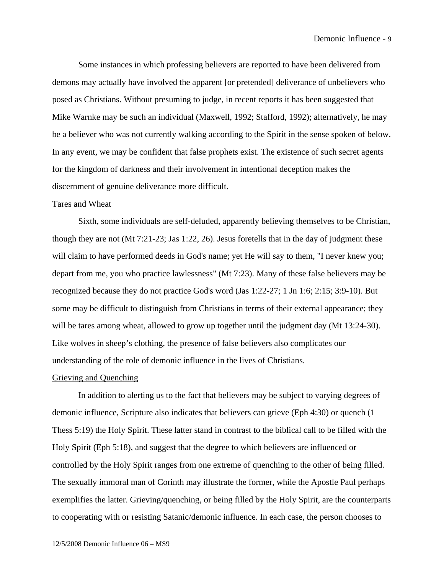Some instances in which professing believers are reported to have been delivered from demons may actually have involved the apparent [or pretended] deliverance of unbelievers who posed as Christians. Without presuming to judge, in recent reports it has been suggested that Mike Warnke may be such an individual (Maxwell, 1992; Stafford, 1992); alternatively, he may be a believer who was not currently walking according to the Spirit in the sense spoken of below. In any event, we may be confident that false prophets exist. The existence of such secret agents for the kingdom of darkness and their involvement in intentional deception makes the discernment of genuine deliverance more difficult.

#### Tares and Wheat

Sixth, some individuals are self-deluded, apparently believing themselves to be Christian, though they are not (Mt 7:21-23; Jas 1:22, 26). Jesus foretells that in the day of judgment these will claim to have performed deeds in God's name; yet He will say to them, "I never knew you; depart from me, you who practice lawlessness" (Mt 7:23). Many of these false believers may be recognized because they do not practice God's word (Jas 1:22-27; 1 Jn 1:6; 2:15; 3:9-10). But some may be difficult to distinguish from Christians in terms of their external appearance; they will be tares among wheat, allowed to grow up together until the judgment day (Mt 13:24-30). Like wolves in sheep's clothing, the presence of false believers also complicates our understanding of the role of demonic influence in the lives of Christians.

#### Grieving and Quenching

In addition to alerting us to the fact that believers may be subject to varying degrees of demonic influence, Scripture also indicates that believers can grieve (Eph 4:30) or quench (1 Thess 5:19) the Holy Spirit. These latter stand in contrast to the biblical call to be filled with the Holy Spirit (Eph 5:18), and suggest that the degree to which believers are influenced or controlled by the Holy Spirit ranges from one extreme of quenching to the other of being filled. The sexually immoral man of Corinth may illustrate the former, while the Apostle Paul perhaps exemplifies the latter. Grieving/quenching, or being filled by the Holy Spirit, are the counterparts to cooperating with or resisting Satanic/demonic influence. In each case, the person chooses to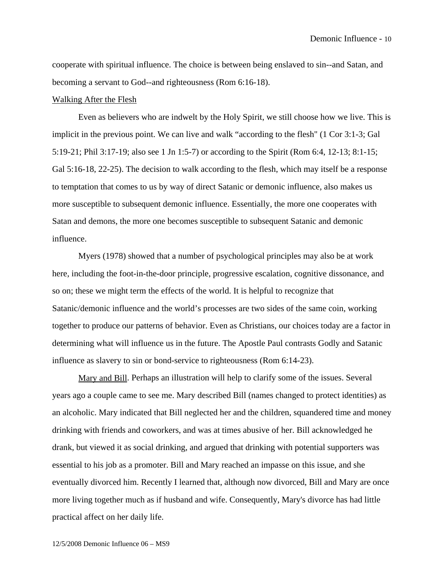cooperate with spiritual influence. The choice is between being enslaved to sin--and Satan, and becoming a servant to God--and righteousness (Rom 6:16-18).

#### Walking After the Flesh

Even as believers who are indwelt by the Holy Spirit, we still choose how we live. This is implicit in the previous point. We can live and walk "according to the flesh" (1 Cor 3:1-3; Gal 5:19-21; Phil 3:17-19; also see 1 Jn 1:5-7) or according to the Spirit (Rom 6:4, 12-13; 8:1-15; Gal 5:16-18, 22-25). The decision to walk according to the flesh, which may itself be a response to temptation that comes to us by way of direct Satanic or demonic influence, also makes us more susceptible to subsequent demonic influence. Essentially, the more one cooperates with Satan and demons, the more one becomes susceptible to subsequent Satanic and demonic influence.

Myers (1978) showed that a number of psychological principles may also be at work here, including the foot-in-the-door principle, progressive escalation, cognitive dissonance, and so on; these we might term the effects of the world. It is helpful to recognize that Satanic/demonic influence and the world's processes are two sides of the same coin, working together to produce our patterns of behavior. Even as Christians, our choices today are a factor in determining what will influence us in the future. The Apostle Paul contrasts Godly and Satanic influence as slavery to sin or bond-service to righteousness (Rom 6:14-23).

Mary and Bill. Perhaps an illustration will help to clarify some of the issues. Several years ago a couple came to see me. Mary described Bill (names changed to protect identities) as an alcoholic. Mary indicated that Bill neglected her and the children, squandered time and money drinking with friends and coworkers, and was at times abusive of her. Bill acknowledged he drank, but viewed it as social drinking, and argued that drinking with potential supporters was essential to his job as a promoter. Bill and Mary reached an impasse on this issue, and she eventually divorced him. Recently I learned that, although now divorced, Bill and Mary are once more living together much as if husband and wife. Consequently, Mary's divorce has had little practical affect on her daily life.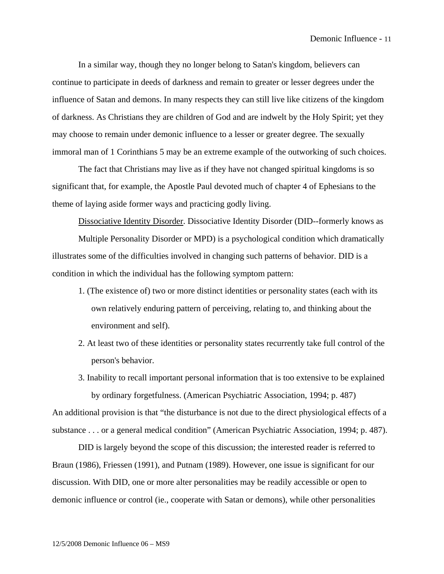In a similar way, though they no longer belong to Satan's kingdom, believers can continue to participate in deeds of darkness and remain to greater or lesser degrees under the influence of Satan and demons. In many respects they can still live like citizens of the kingdom of darkness. As Christians they are children of God and are indwelt by the Holy Spirit; yet they may choose to remain under demonic influence to a lesser or greater degree. The sexually immoral man of 1 Corinthians 5 may be an extreme example of the outworking of such choices.

The fact that Christians may live as if they have not changed spiritual kingdoms is so significant that, for example, the Apostle Paul devoted much of chapter 4 of Ephesians to the theme of laying aside former ways and practicing godly living.

Dissociative Identity Disorder. Dissociative Identity Disorder (DID--formerly knows as Multiple Personality Disorder or MPD) is a psychological condition which dramatically illustrates some of the difficulties involved in changing such patterns of behavior. DID is a condition in which the individual has the following symptom pattern:

- 1. (The existence of) two or more distinct identities or personality states (each with its own relatively enduring pattern of perceiving, relating to, and thinking about the environment and self).
- 2. At least two of these identities or personality states recurrently take full control of the person's behavior.
- 3. Inability to recall important personal information that is too extensive to be explained by ordinary forgetfulness. (American Psychiatric Association, 1994; p. 487) An additional provision is that "the disturbance is not due to the direct physiological effects of a substance . . . or a general medical condition" (American Psychiatric Association, 1994; p. 487).

DID is largely beyond the scope of this discussion; the interested reader is referred to Braun (1986), Friessen (1991), and Putnam (1989). However, one issue is significant for our discussion. With DID, one or more alter personalities may be readily accessible or open to demonic influence or control (ie., cooperate with Satan or demons), while other personalities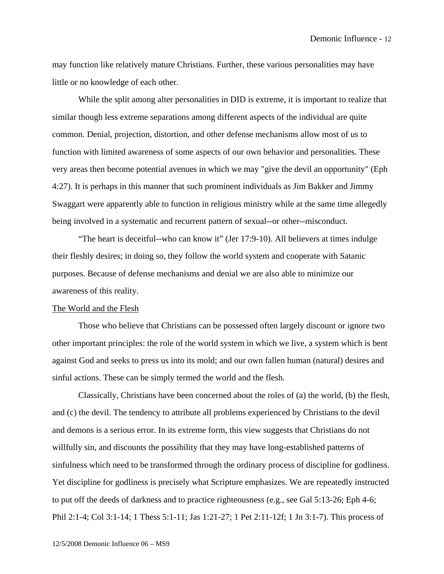may function like relatively mature Christians. Further, these various personalities may have little or no knowledge of each other.

While the split among alter personalities in DID is extreme, it is important to realize that similar though less extreme separations among different aspects of the individual are quite common. Denial, projection, distortion, and other defense mechanisms allow most of us to function with limited awareness of some aspects of our own behavior and personalities. These very areas then become potential avenues in which we may "give the devil an opportunity" (Eph 4:27). It is perhaps in this manner that such prominent individuals as Jim Bakker and Jimmy Swaggart were apparently able to function in religious ministry while at the same time allegedly being involved in a systematic and recurrent pattern of sexual--or other--misconduct.

"The heart is deceitful--who can know it" (Jer 17:9-10). All believers at times indulge their fleshly desires; in doing so, they follow the world system and cooperate with Satanic purposes. Because of defense mechanisms and denial we are also able to minimize our awareness of this reality.

#### The World and the Flesh

Those who believe that Christians can be possessed often largely discount or ignore two other important principles: the role of the world system in which we live, a system which is bent against God and seeks to press us into its mold; and our own fallen human (natural) desires and sinful actions. These can be simply termed the world and the flesh.

Classically, Christians have been concerned about the roles of (a) the world, (b) the flesh, and (c) the devil. The tendency to attribute all problems experienced by Christians to the devil and demons is a serious error. In its extreme form, this view suggests that Christians do not willfully sin, and discounts the possibility that they may have long-established patterns of sinfulness which need to be transformed through the ordinary process of discipline for godliness. Yet discipline for godliness is precisely what Scripture emphasizes. We are repeatedly instructed to put off the deeds of darkness and to practice righteousness (e.g., see Gal 5:13-26; Eph 4-6; Phil 2:1-4; Col 3:1-14; 1 Thess 5:1-11; Jas 1:21-27; 1 Pet 2:11-12f; 1 Jn 3:1-7). This process of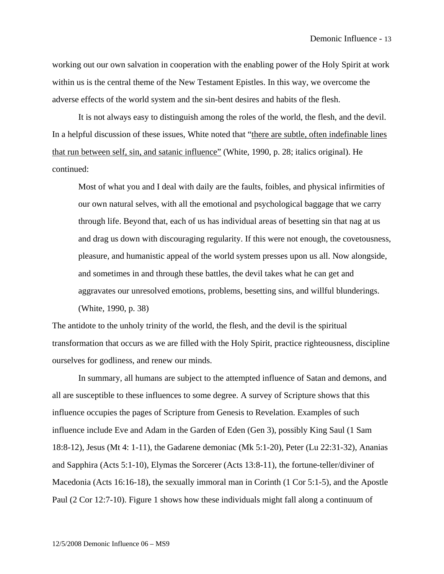working out our own salvation in cooperation with the enabling power of the Holy Spirit at work within us is the central theme of the New Testament Epistles. In this way, we overcome the adverse effects of the world system and the sin-bent desires and habits of the flesh.

It is not always easy to distinguish among the roles of the world, the flesh, and the devil. In a helpful discussion of these issues, White noted that "there are subtle, often indefinable lines that run between self, sin, and satanic influence" (White, 1990, p. 28; italics original). He continued:

Most of what you and I deal with daily are the faults, foibles, and physical infirmities of our own natural selves, with all the emotional and psychological baggage that we carry through life. Beyond that, each of us has individual areas of besetting sin that nag at us and drag us down with discouraging regularity. If this were not enough, the covetousness, pleasure, and humanistic appeal of the world system presses upon us all. Now alongside, and sometimes in and through these battles, the devil takes what he can get and aggravates our unresolved emotions, problems, besetting sins, and willful blunderings. (White, 1990, p. 38)

 The antidote to the unholy trinity of the world, the flesh, and the devil is the spiritual transformation that occurs as we are filled with the Holy Spirit, practice righteousness, discipline ourselves for godliness, and renew our minds.

In summary, all humans are subject to the attempted influence of Satan and demons, and all are susceptible to these influences to some degree. A survey of Scripture shows that this influence occupies the pages of Scripture from Genesis to Revelation. Examples of such influence include Eve and Adam in the Garden of Eden (Gen 3), possibly King Saul (1 Sam 18:8-12), Jesus (Mt 4: 1-11), the Gadarene demoniac (Mk 5:1-20), Peter (Lu 22:31-32), Ananias and Sapphira (Acts 5:1-10), Elymas the Sorcerer (Acts 13:8-11), the fortune-teller/diviner of Macedonia (Acts 16:16-18), the sexually immoral man in Corinth (1 Cor 5:1-5), and the Apostle Paul (2 Cor 12:7-10). Figure 1 shows how these individuals might fall along a continuum of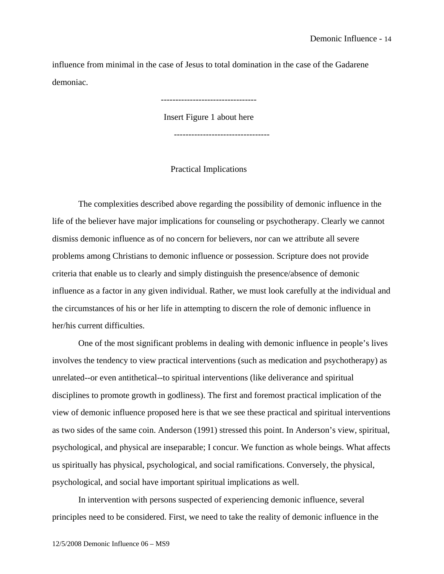influence from minimal in the case of Jesus to total domination in the case of the Gadarene demoniac.

> --------------------------------- Insert Figure 1 about here

---------------------------------

Practical Implications

The complexities described above regarding the possibility of demonic influence in the life of the believer have major implications for counseling or psychotherapy. Clearly we cannot dismiss demonic influence as of no concern for believers, nor can we attribute all severe problems among Christians to demonic influence or possession. Scripture does not provide criteria that enable us to clearly and simply distinguish the presence/absence of demonic influence as a factor in any given individual. Rather, we must look carefully at the individual and the circumstances of his or her life in attempting to discern the role of demonic influence in her/his current difficulties.

One of the most significant problems in dealing with demonic influence in people's lives involves the tendency to view practical interventions (such as medication and psychotherapy) as unrelated--or even antithetical--to spiritual interventions (like deliverance and spiritual disciplines to promote growth in godliness). The first and foremost practical implication of the view of demonic influence proposed here is that we see these practical and spiritual interventions as two sides of the same coin. Anderson (1991) stressed this point. In Anderson's view, spiritual, psychological, and physical are inseparable; I concur. We function as whole beings. What affects us spiritually has physical, psychological, and social ramifications. Conversely, the physical, psychological, and social have important spiritual implications as well.

In intervention with persons suspected of experiencing demonic influence, several principles need to be considered. First, we need to take the reality of demonic influence in the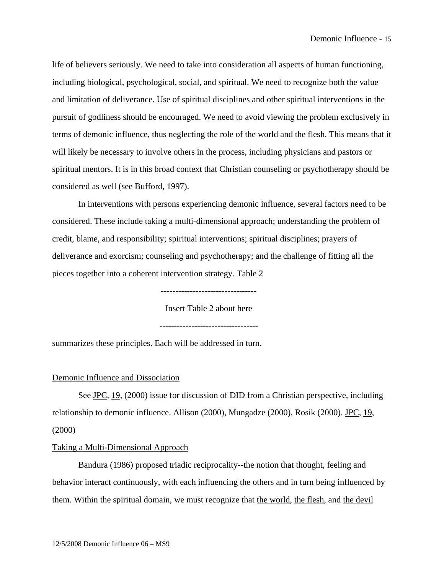life of believers seriously. We need to take into consideration all aspects of human functioning, including biological, psychological, social, and spiritual. We need to recognize both the value and limitation of deliverance. Use of spiritual disciplines and other spiritual interventions in the pursuit of godliness should be encouraged. We need to avoid viewing the problem exclusively in terms of demonic influence, thus neglecting the role of the world and the flesh. This means that it will likely be necessary to involve others in the process, including physicians and pastors or spiritual mentors. It is in this broad context that Christian counseling or psychotherapy should be considered as well (see Bufford, 1997).

In interventions with persons experiencing demonic influence, several factors need to be considered. These include taking a multi-dimensional approach; understanding the problem of credit, blame, and responsibility; spiritual interventions; spiritual disciplines; prayers of deliverance and exorcism; counseling and psychotherapy; and the challenge of fitting all the pieces together into a coherent intervention strategy. Table 2

---------------------------------

Insert Table 2 about here

----------------------------------

summarizes these principles. Each will be addressed in turn.

#### Demonic Influence and Dissociation

See JPC, 19, (2000) issue for discussion of DID from a Christian perspective, including relationship to demonic influence. Allison (2000), Mungadze (2000), Rosik (2000). JPC, 19, (2000)

#### Taking a Multi-Dimensional Approach

Bandura (1986) proposed triadic reciprocality--the notion that thought, feeling and behavior interact continuously, with each influencing the others and in turn being influenced by them. Within the spiritual domain, we must recognize that the world, the flesh, and the devil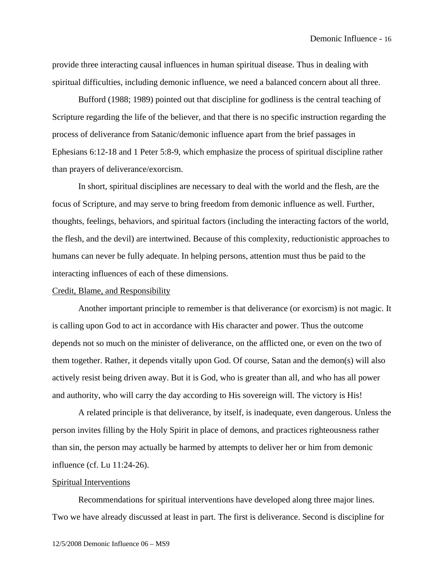provide three interacting causal influences in human spiritual disease. Thus in dealing with spiritual difficulties, including demonic influence, we need a balanced concern about all three.

Bufford (1988; 1989) pointed out that discipline for godliness is the central teaching of Scripture regarding the life of the believer, and that there is no specific instruction regarding the process of deliverance from Satanic/demonic influence apart from the brief passages in Ephesians 6:12-18 and 1 Peter 5:8-9, which emphasize the process of spiritual discipline rather than prayers of deliverance/exorcism.

In short, spiritual disciplines are necessary to deal with the world and the flesh, are the focus of Scripture, and may serve to bring freedom from demonic influence as well. Further, thoughts, feelings, behaviors, and spiritual factors (including the interacting factors of the world, the flesh, and the devil) are intertwined. Because of this complexity, reductionistic approaches to humans can never be fully adequate. In helping persons, attention must thus be paid to the interacting influences of each of these dimensions.

#### Credit, Blame, and Responsibility

Another important principle to remember is that deliverance (or exorcism) is not magic. It is calling upon God to act in accordance with His character and power. Thus the outcome depends not so much on the minister of deliverance, on the afflicted one, or even on the two of them together. Rather, it depends vitally upon God. Of course, Satan and the demon(s) will also actively resist being driven away. But it is God, who is greater than all, and who has all power and authority, who will carry the day according to His sovereign will. The victory is His!

A related principle is that deliverance, by itself, is inadequate, even dangerous. Unless the person invites filling by the Holy Spirit in place of demons, and practices righteousness rather than sin, the person may actually be harmed by attempts to deliver her or him from demonic influence (cf. Lu 11:24-26).

#### Spiritual Interventions

Recommendations for spiritual interventions have developed along three major lines. Two we have already discussed at least in part. The first is deliverance. Second is discipline for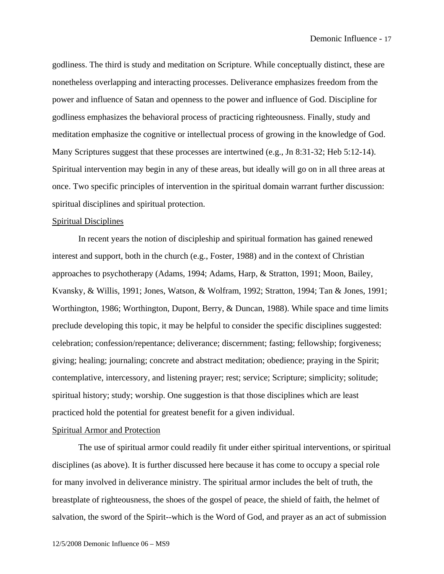godliness. The third is study and meditation on Scripture. While conceptually distinct, these are nonetheless overlapping and interacting processes. Deliverance emphasizes freedom from the power and influence of Satan and openness to the power and influence of God. Discipline for godliness emphasizes the behavioral process of practicing righteousness. Finally, study and meditation emphasize the cognitive or intellectual process of growing in the knowledge of God. Many Scriptures suggest that these processes are intertwined (e.g., Jn 8:31-32; Heb 5:12-14). Spiritual intervention may begin in any of these areas, but ideally will go on in all three areas at once. Two specific principles of intervention in the spiritual domain warrant further discussion: spiritual disciplines and spiritual protection.

#### Spiritual Disciplines

In recent years the notion of discipleship and spiritual formation has gained renewed interest and support, both in the church (e.g., Foster, 1988) and in the context of Christian approaches to psychotherapy (Adams, 1994; Adams, Harp, & Stratton, 1991; Moon, Bailey, Kvansky, & Willis, 1991; Jones, Watson, & Wolfram, 1992; Stratton, 1994; Tan & Jones, 1991; Worthington, 1986; Worthington, Dupont, Berry, & Duncan, 1988). While space and time limits preclude developing this topic, it may be helpful to consider the specific disciplines suggested: celebration; confession/repentance; deliverance; discernment; fasting; fellowship; forgiveness; giving; healing; journaling; concrete and abstract meditation; obedience; praying in the Spirit; contemplative, intercessory, and listening prayer; rest; service; Scripture; simplicity; solitude; spiritual history; study; worship. One suggestion is that those disciplines which are least practiced hold the potential for greatest benefit for a given individual.

#### Spiritual Armor and Protection

The use of spiritual armor could readily fit under either spiritual interventions, or spiritual disciplines (as above). It is further discussed here because it has come to occupy a special role for many involved in deliverance ministry. The spiritual armor includes the belt of truth, the breastplate of righteousness, the shoes of the gospel of peace, the shield of faith, the helmet of salvation, the sword of the Spirit--which is the Word of God, and prayer as an act of submission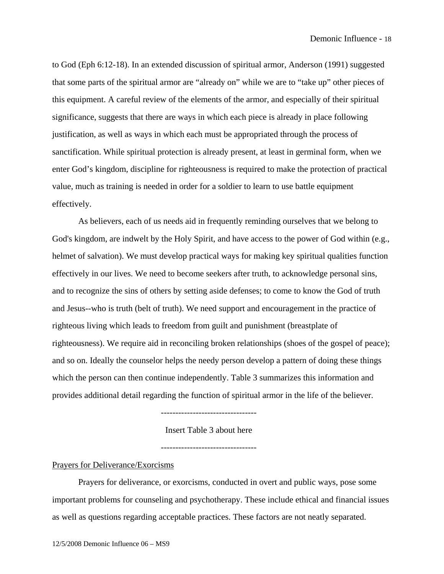to God (Eph 6:12-18). In an extended discussion of spiritual armor, Anderson (1991) suggested that some parts of the spiritual armor are "already on" while we are to "take up" other pieces of this equipment. A careful review of the elements of the armor, and especially of their spiritual significance, suggests that there are ways in which each piece is already in place following justification, as well as ways in which each must be appropriated through the process of sanctification. While spiritual protection is already present, at least in germinal form, when we enter God's kingdom, discipline for righteousness is required to make the protection of practical value, much as training is needed in order for a soldier to learn to use battle equipment effectively.

As believers, each of us needs aid in frequently reminding ourselves that we belong to God's kingdom, are indwelt by the Holy Spirit, and have access to the power of God within (e.g., helmet of salvation). We must develop practical ways for making key spiritual qualities function effectively in our lives. We need to become seekers after truth, to acknowledge personal sins, and to recognize the sins of others by setting aside defenses; to come to know the God of truth and Jesus--who is truth (belt of truth). We need support and encouragement in the practice of righteous living which leads to freedom from guilt and punishment (breastplate of righteousness). We require aid in reconciling broken relationships (shoes of the gospel of peace); and so on. Ideally the counselor helps the needy person develop a pattern of doing these things which the person can then continue independently. Table 3 summarizes this information and provides additional detail regarding the function of spiritual armor in the life of the believer.

---------------------------------

Insert Table 3 about here

---------------------------------

Prayers for Deliverance/Exorcisms

Prayers for deliverance, or exorcisms, conducted in overt and public ways, pose some important problems for counseling and psychotherapy. These include ethical and financial issues as well as questions regarding acceptable practices. These factors are not neatly separated.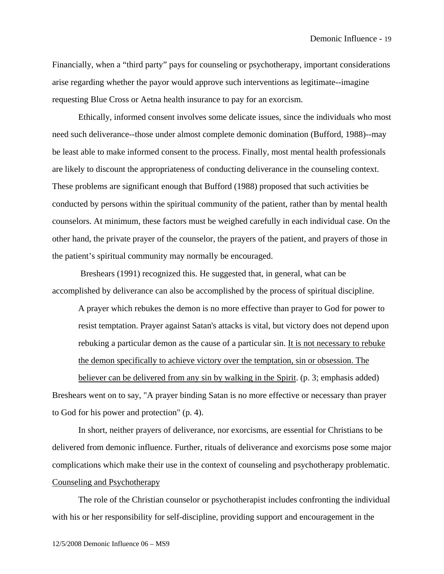Financially, when a "third party" pays for counseling or psychotherapy, important considerations arise regarding whether the payor would approve such interventions as legitimate--imagine requesting Blue Cross or Aetna health insurance to pay for an exorcism.

Ethically, informed consent involves some delicate issues, since the individuals who most need such deliverance--those under almost complete demonic domination (Bufford, 1988)--may be least able to make informed consent to the process. Finally, most mental health professionals are likely to discount the appropriateness of conducting deliverance in the counseling context. These problems are significant enough that Bufford (1988) proposed that such activities be conducted by persons within the spiritual community of the patient, rather than by mental health counselors. At minimum, these factors must be weighed carefully in each individual case. On the other hand, the private prayer of the counselor, the prayers of the patient, and prayers of those in the patient's spiritual community may normally be encouraged.

 Breshears (1991) recognized this. He suggested that, in general, what can be accomplished by deliverance can also be accomplished by the process of spiritual discipline.

A prayer which rebukes the demon is no more effective than prayer to God for power to resist temptation. Prayer against Satan's attacks is vital, but victory does not depend upon rebuking a particular demon as the cause of a particular sin. It is not necessary to rebuke the demon specifically to achieve victory over the temptation, sin or obsession. The

believer can be delivered from any sin by walking in the Spirit. (p. 3; emphasis added) Breshears went on to say, "A prayer binding Satan is no more effective or necessary than prayer to God for his power and protection" (p. 4).

In short, neither prayers of deliverance, nor exorcisms, are essential for Christians to be delivered from demonic influence. Further, rituals of deliverance and exorcisms pose some major complications which make their use in the context of counseling and psychotherapy problematic. Counseling and Psychotherapy

The role of the Christian counselor or psychotherapist includes confronting the individual with his or her responsibility for self-discipline, providing support and encouragement in the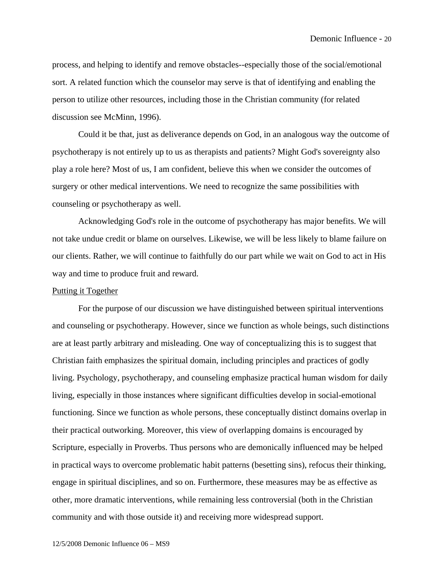process, and helping to identify and remove obstacles--especially those of the social/emotional sort. A related function which the counselor may serve is that of identifying and enabling the person to utilize other resources, including those in the Christian community (for related discussion see McMinn, 1996).

Could it be that, just as deliverance depends on God, in an analogous way the outcome of psychotherapy is not entirely up to us as therapists and patients? Might God's sovereignty also play a role here? Most of us, I am confident, believe this when we consider the outcomes of surgery or other medical interventions. We need to recognize the same possibilities with counseling or psychotherapy as well.

Acknowledging God's role in the outcome of psychotherapy has major benefits. We will not take undue credit or blame on ourselves. Likewise, we will be less likely to blame failure on our clients. Rather, we will continue to faithfully do our part while we wait on God to act in His way and time to produce fruit and reward.

#### Putting it Together

For the purpose of our discussion we have distinguished between spiritual interventions and counseling or psychotherapy. However, since we function as whole beings, such distinctions are at least partly arbitrary and misleading. One way of conceptualizing this is to suggest that Christian faith emphasizes the spiritual domain, including principles and practices of godly living. Psychology, psychotherapy, and counseling emphasize practical human wisdom for daily living, especially in those instances where significant difficulties develop in social-emotional functioning. Since we function as whole persons, these conceptually distinct domains overlap in their practical outworking. Moreover, this view of overlapping domains is encouraged by Scripture, especially in Proverbs. Thus persons who are demonically influenced may be helped in practical ways to overcome problematic habit patterns (besetting sins), refocus their thinking, engage in spiritual disciplines, and so on. Furthermore, these measures may be as effective as other, more dramatic interventions, while remaining less controversial (both in the Christian community and with those outside it) and receiving more widespread support.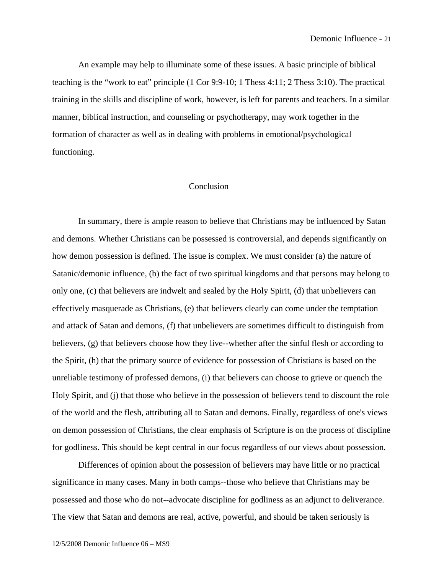An example may help to illuminate some of these issues. A basic principle of biblical teaching is the "work to eat" principle (1 Cor 9:9-10; 1 Thess 4:11; 2 Thess 3:10). The practical training in the skills and discipline of work, however, is left for parents and teachers. In a similar manner, biblical instruction, and counseling or psychotherapy, may work together in the formation of character as well as in dealing with problems in emotional/psychological functioning.

#### Conclusion

In summary, there is ample reason to believe that Christians may be influenced by Satan and demons. Whether Christians can be possessed is controversial, and depends significantly on how demon possession is defined. The issue is complex. We must consider (a) the nature of Satanic/demonic influence, (b) the fact of two spiritual kingdoms and that persons may belong to only one, (c) that believers are indwelt and sealed by the Holy Spirit, (d) that unbelievers can effectively masquerade as Christians, (e) that believers clearly can come under the temptation and attack of Satan and demons, (f) that unbelievers are sometimes difficult to distinguish from believers, (g) that believers choose how they live--whether after the sinful flesh or according to the Spirit, (h) that the primary source of evidence for possession of Christians is based on the unreliable testimony of professed demons, (i) that believers can choose to grieve or quench the Holy Spirit, and (j) that those who believe in the possession of believers tend to discount the role of the world and the flesh, attributing all to Satan and demons. Finally, regardless of one's views on demon possession of Christians, the clear emphasis of Scripture is on the process of discipline for godliness. This should be kept central in our focus regardless of our views about possession.

Differences of opinion about the possession of believers may have little or no practical significance in many cases. Many in both camps--those who believe that Christians may be possessed and those who do not--advocate discipline for godliness as an adjunct to deliverance. The view that Satan and demons are real, active, powerful, and should be taken seriously is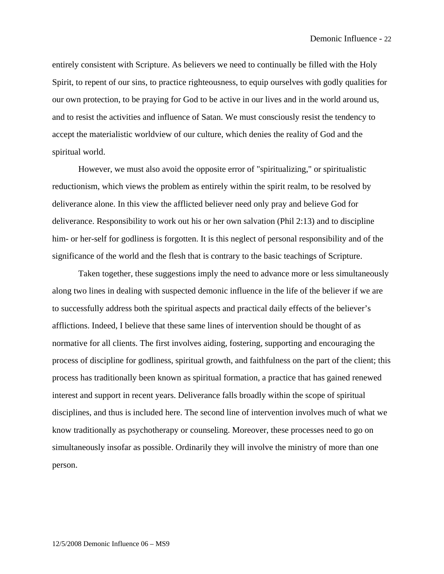entirely consistent with Scripture. As believers we need to continually be filled with the Holy Spirit, to repent of our sins, to practice righteousness, to equip ourselves with godly qualities for our own protection, to be praying for God to be active in our lives and in the world around us, and to resist the activities and influence of Satan. We must consciously resist the tendency to accept the materialistic worldview of our culture, which denies the reality of God and the spiritual world.

However, we must also avoid the opposite error of "spiritualizing," or spiritualistic reductionism, which views the problem as entirely within the spirit realm, to be resolved by deliverance alone. In this view the afflicted believer need only pray and believe God for deliverance. Responsibility to work out his or her own salvation (Phil 2:13) and to discipline him- or her-self for godliness is forgotten. It is this neglect of personal responsibility and of the significance of the world and the flesh that is contrary to the basic teachings of Scripture.

Taken together, these suggestions imply the need to advance more or less simultaneously along two lines in dealing with suspected demonic influence in the life of the believer if we are to successfully address both the spiritual aspects and practical daily effects of the believer's afflictions. Indeed, I believe that these same lines of intervention should be thought of as normative for all clients. The first involves aiding, fostering, supporting and encouraging the process of discipline for godliness, spiritual growth, and faithfulness on the part of the client; this process has traditionally been known as spiritual formation, a practice that has gained renewed interest and support in recent years. Deliverance falls broadly within the scope of spiritual disciplines, and thus is included here. The second line of intervention involves much of what we know traditionally as psychotherapy or counseling. Moreover, these processes need to go on simultaneously insofar as possible. Ordinarily they will involve the ministry of more than one person.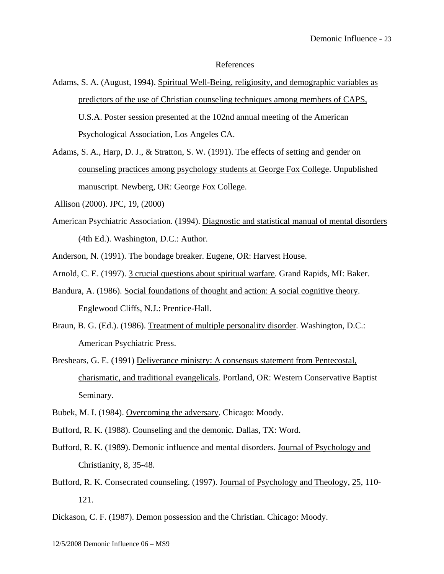#### References

- Adams, S. A. (August, 1994). Spiritual Well-Being, religiosity, and demographic variables as predictors of the use of Christian counseling techniques among members of CAPS, U.S.A. Poster session presented at the 102nd annual meeting of the American Psychological Association, Los Angeles CA.
- Adams, S. A., Harp, D. J., & Stratton, S. W. (1991). The effects of setting and gender on counseling practices among psychology students at George Fox College. Unpublished manuscript. Newberg, OR: George Fox College.
- Allison (2000). JPC, 19, (2000)
- American Psychiatric Association. (1994). Diagnostic and statistical manual of mental disorders (4th Ed.). Washington, D.C.: Author.
- Anderson, N. (1991). The bondage breaker. Eugene, OR: Harvest House.
- Arnold, C. E. (1997). 3 crucial questions about spiritual warfare. Grand Rapids, MI: Baker.
- Bandura, A. (1986). Social foundations of thought and action: A social cognitive theory. Englewood Cliffs, N.J.: Prentice-Hall.
- Braun, B. G. (Ed.). (1986). Treatment of multiple personality disorder. Washington, D.C.: American Psychiatric Press.
- Breshears, G. E. (1991) Deliverance ministry: A consensus statement from Pentecostal, charismatic, and traditional evangelicals. Portland, OR: Western Conservative Baptist Seminary.
- Bubek, M. I. (1984). Overcoming the adversary. Chicago: Moody.
- Bufford, R. K. (1988). Counseling and the demonic. Dallas, TX: Word.
- Bufford, R. K. (1989). Demonic influence and mental disorders. Journal of Psychology and Christianity, 8, 35-48.
- Bufford, R. K. Consecrated counseling. (1997). Journal of Psychology and Theology, 25, 110- 121.
- Dickason, C. F. (1987). Demon possession and the Christian. Chicago: Moody.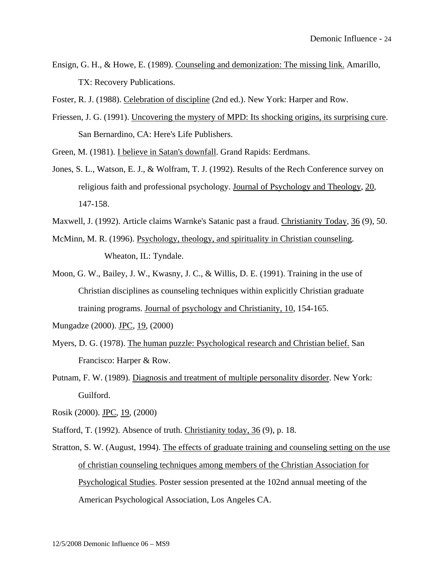Ensign, G. H., & Howe, E. (1989). Counseling and demonization: The missing link. Amarillo, TX: Recovery Publications.

Foster, R. J. (1988). Celebration of discipline (2nd ed.). New York: Harper and Row.

- Friessen, J. G. (1991). Uncovering the mystery of MPD: Its shocking origins, its surprising cure. San Bernardino, CA: Here's Life Publishers.
- Green, M. (1981). I believe in Satan's downfall. Grand Rapids: Eerdmans.
- Jones, S. L., Watson, E. J., & Wolfram, T. J. (1992). Results of the Rech Conference survey on religious faith and professional psychology. Journal of Psychology and Theology, 20, 147-158.
- Maxwell, J. (1992). Article claims Warnke's Satanic past a fraud. Christianity Today, 36 (9), 50.
- McMinn, M. R. (1996). Psychology, theology, and spirituality in Christian counseling. Wheaton, IL: Tyndale.
- Moon, G. W., Bailey, J. W., Kwasny, J. C., & Willis, D. E. (1991). Training in the use of Christian disciplines as counseling techniques within explicitly Christian graduate training programs. Journal of psychology and Christianity, 10, 154-165.

Mungadze (2000). JPC, 19, (2000)

- Myers, D. G. (1978). The human puzzle: Psychological research and Christian belief. San Francisco: Harper & Row.
- Putnam, F. W. (1989). Diagnosis and treatment of multiple personality disorder. New York: Guilford.

Rosik (2000). JPC, 19, (2000)

- Stafford, T. (1992). Absence of truth. Christianity today, 36 (9), p. 18.
- Stratton, S. W. (August, 1994). The effects of graduate training and counseling setting on the use of christian counseling techniques among members of the Christian Association for Psychological Studies. Poster session presented at the 102nd annual meeting of the American Psychological Association, Los Angeles CA.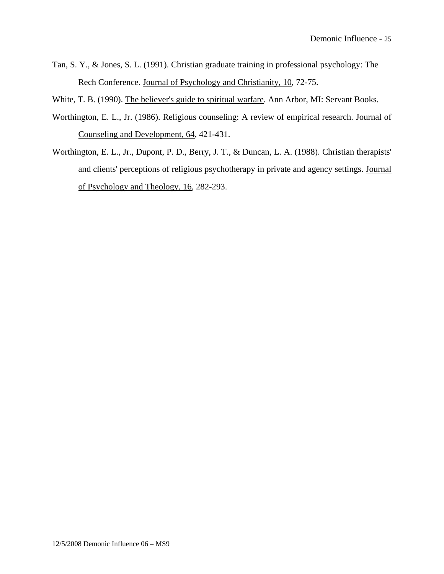- Tan, S. Y., & Jones, S. L. (1991). Christian graduate training in professional psychology: The Rech Conference. Journal of Psychology and Christianity, 10, 72-75.
- White, T. B. (1990). The believer's guide to spiritual warfare. Ann Arbor, MI: Servant Books.
- Worthington, E. L., Jr. (1986). Religious counseling: A review of empirical research. Journal of Counseling and Development, 64, 421-431.
- Worthington, E. L., Jr., Dupont, P. D., Berry, J. T., & Duncan, L. A. (1988). Christian therapists' and clients' perceptions of religious psychotherapy in private and agency settings. Journal of Psychology and Theology, 16, 282-293.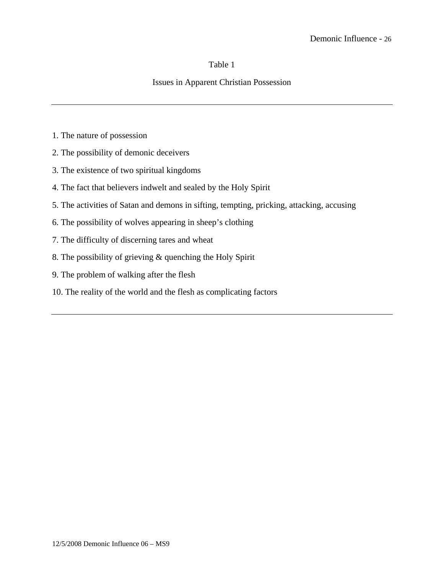### Table 1

## Issues in Apparent Christian Possession

- 1. The nature of possession
- 2. The possibility of demonic deceivers
- 3. The existence of two spiritual kingdoms
- 4. The fact that believers indwelt and sealed by the Holy Spirit
- 5. The activities of Satan and demons in sifting, tempting, pricking, attacking, accusing
- 6. The possibility of wolves appearing in sheep's clothing
- 7. The difficulty of discerning tares and wheat
- 8. The possibility of grieving & quenching the Holy Spirit
- 9. The problem of walking after the flesh
- 10. The reality of the world and the flesh as complicating factors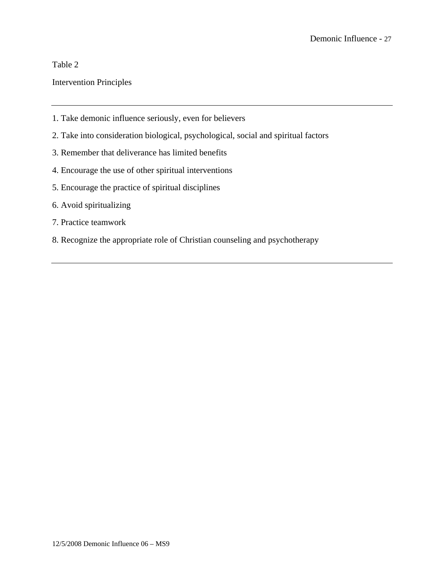# Table 2

# Intervention Principles

- 1. Take demonic influence seriously, even for believers
- 2. Take into consideration biological, psychological, social and spiritual factors
- 3. Remember that deliverance has limited benefits
- 4. Encourage the use of other spiritual interventions
- 5. Encourage the practice of spiritual disciplines
- 6. Avoid spiritualizing
- 7. Practice teamwork
- 8. Recognize the appropriate role of Christian counseling and psychotherapy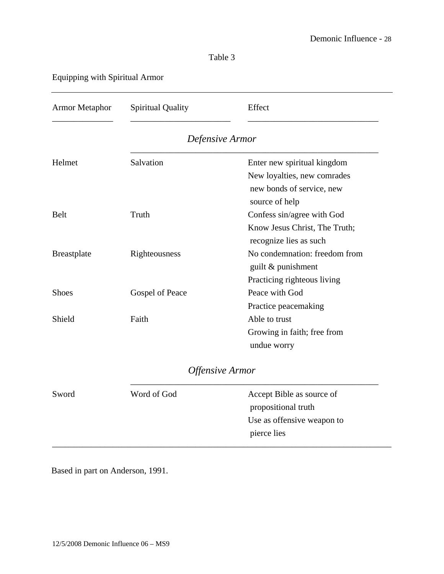# Table 3

# Equipping with Spiritual Armor

| <b>Armor Metaphor</b> | <b>Spiritual Quality</b> | Effect                        |
|-----------------------|--------------------------|-------------------------------|
|                       |                          | Defensive Armor               |
| Helmet                | Salvation                | Enter new spiritual kingdom   |
|                       |                          | New loyalties, new comrades   |
|                       |                          | new bonds of service, new     |
|                       |                          | source of help                |
| <b>Belt</b>           | Truth                    | Confess sin/agree with God    |
|                       |                          | Know Jesus Christ, The Truth; |
|                       |                          | recognize lies as such        |
| <b>Breastplate</b>    | Righteousness            | No condemnation: freedom from |
|                       |                          | guilt & punishment            |
|                       |                          | Practicing righteous living   |
| <b>Shoes</b>          | Gospel of Peace          | Peace with God                |
|                       |                          | Practice peacemaking          |
| Shield                | Faith                    | Able to trust                 |
|                       |                          | Growing in faith; free from   |
|                       |                          | undue worry                   |
|                       |                          | <b>Offensive Armor</b>        |
| Sword                 | Word of God              | Accept Bible as source of     |
|                       |                          | propositional truth           |
|                       |                          | Use as offensive weapon to    |
|                       |                          | pierce lies                   |

Based in part on Anderson, 1991.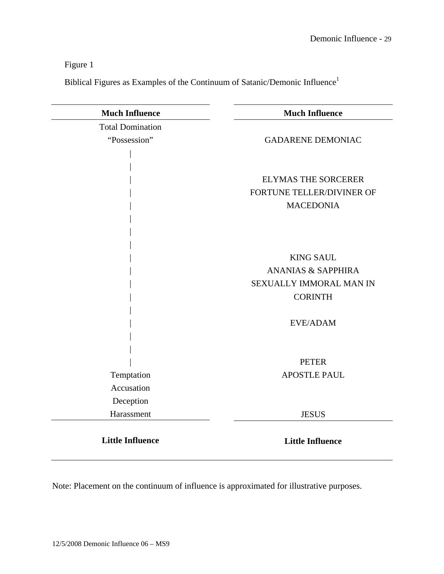# Figure 1

Biblical Figures as Examples of the Continuum of Satanic/Demonic Influence<sup>1</sup>

| <b>Much Influence</b>   | <b>Much Influence</b>         |
|-------------------------|-------------------------------|
| <b>Total Domination</b> |                               |
| "Possession"            | <b>GADARENE DEMONIAC</b>      |
|                         |                               |
|                         |                               |
|                         | <b>ELYMAS THE SORCERER</b>    |
|                         | FORTUNE TELLER/DIVINER OF     |
|                         | <b>MACEDONIA</b>              |
|                         |                               |
|                         |                               |
|                         |                               |
|                         | <b>KING SAUL</b>              |
|                         | <b>ANANIAS &amp; SAPPHIRA</b> |
|                         | SEXUALLY IMMORAL MAN IN       |
|                         | <b>CORINTH</b>                |
|                         |                               |
|                         | EVE/ADAM                      |
|                         |                               |
|                         |                               |
|                         | <b>PETER</b>                  |
| Temptation              | <b>APOSTLE PAUL</b>           |
| Accusation              |                               |
| Deception               |                               |
| Harassment              | <b>JESUS</b>                  |
|                         |                               |
| <b>Little Influence</b> | <b>Little Influence</b>       |

Note: Placement on the continuum of influence is approximated for illustrative purposes.